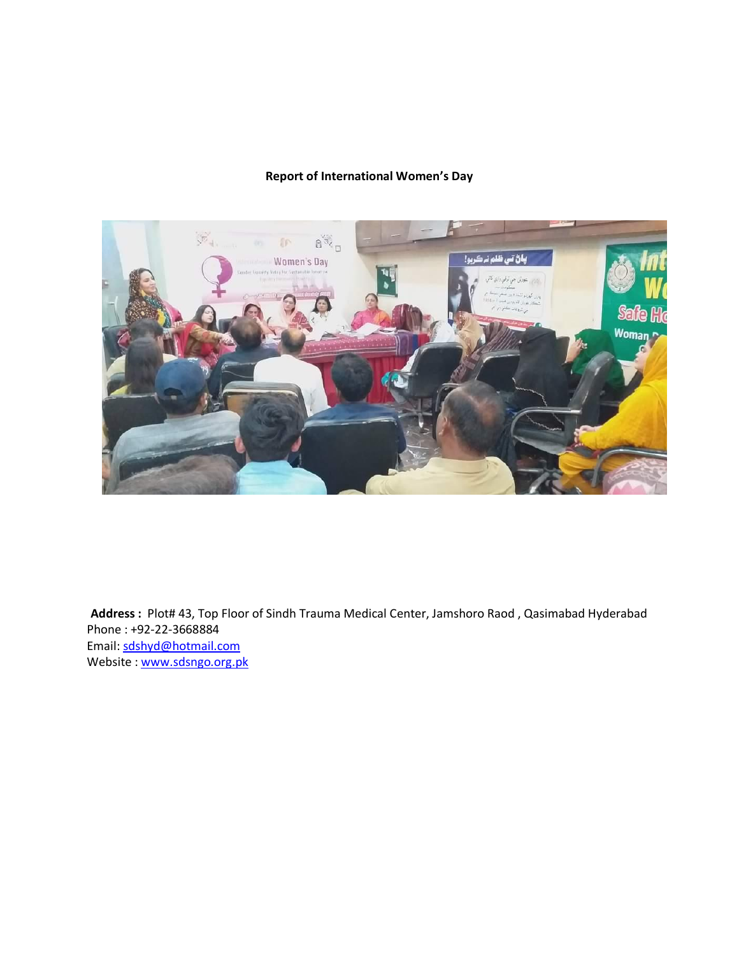# **Report of International Women's Day**



**Address :** Plot# 43, Top Floor of Sindh Trauma Medical Center, Jamshoro Raod , Qasimabad Hyderabad Phone : +92-22-3668884 Email: [sdshyd@hotmail.com](mailto:sdshyd@hotmail.com) Website : www.sdsngo.org.pk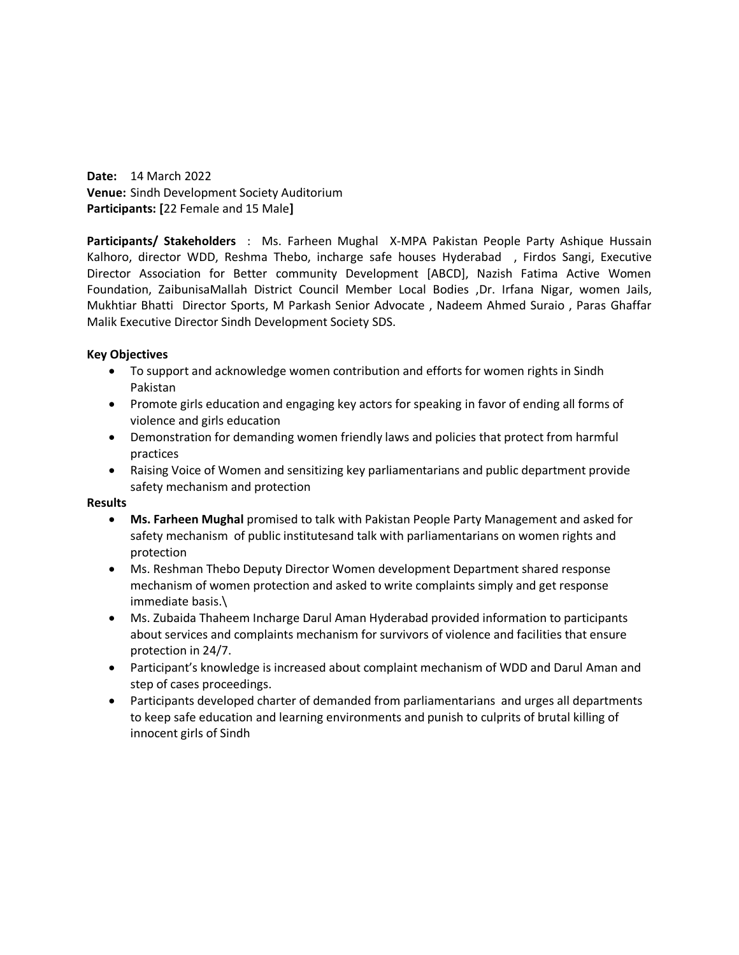**Date:** 14 March 2022 **Venue:** Sindh Development Society Auditorium **Participants: [**22 Female and 15 Male**]**

**Participants/ Stakeholders** : Ms. Farheen Mughal X-MPA Pakistan People Party Ashique Hussain Kalhoro, director WDD, Reshma Thebo, incharge safe houses Hyderabad , Firdos Sangi, Executive Director Association for Better community Development [ABCD], Nazish Fatima Active Women Foundation, ZaibunisaMallah District Council Member Local Bodies ,Dr. Irfana Nigar, women Jails, Mukhtiar Bhatti Director Sports, M Parkash Senior Advocate , Nadeem Ahmed Suraio , Paras Ghaffar Malik Executive Director Sindh Development Society SDS.

# **Key Objectives**

- To support and acknowledge women contribution and efforts for women rights in Sindh Pakistan
- Promote girls education and engaging key actors for speaking in favor of ending all forms of violence and girls education
- Demonstration for demanding women friendly laws and policies that protect from harmful practices
- Raising Voice of Women and sensitizing key parliamentarians and public department provide safety mechanism and protection

## **Results**

- **Ms. Farheen Mughal** promised to talk with Pakistan People Party Management and asked for safety mechanism of public institutesand talk with parliamentarians on women rights and protection
- Ms. Reshman Thebo Deputy Director Women development Department shared response mechanism of women protection and asked to write complaints simply and get response immediate basis.\
- Ms. Zubaida Thaheem Incharge Darul Aman Hyderabad provided information to participants about services and complaints mechanism for survivors of violence and facilities that ensure protection in 24/7.
- Participant's knowledge is increased about complaint mechanism of WDD and Darul Aman and step of cases proceedings.
- Participants developed charter of demanded from parliamentarians and urges all departments to keep safe education and learning environments and punish to culprits of brutal killing of innocent girls of Sindh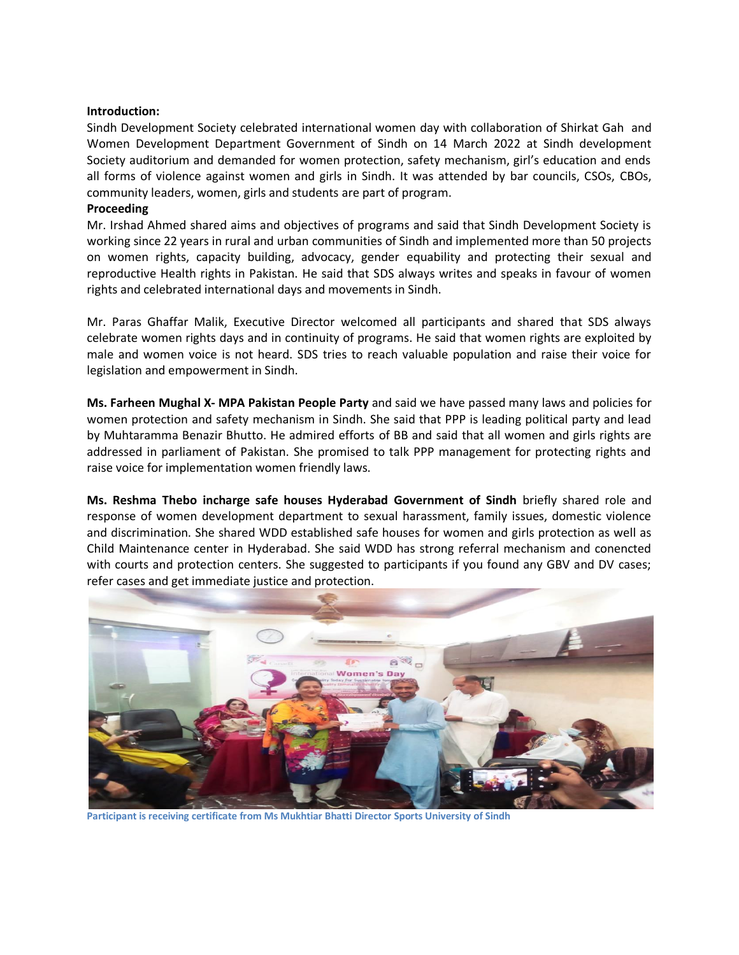### **Introduction:**

Sindh Development Society celebrated international women day with collaboration of Shirkat Gah and Women Development Department Government of Sindh on 14 March 2022 at Sindh development Society auditorium and demanded for women protection, safety mechanism, girl's education and ends all forms of violence against women and girls in Sindh. It was attended by bar councils, CSOs, CBOs, community leaders, women, girls and students are part of program.

#### **Proceeding**

Mr. Irshad Ahmed shared aims and objectives of programs and said that Sindh Development Society is working since 22 years in rural and urban communities of Sindh and implemented more than 50 projects on women rights, capacity building, advocacy, gender equability and protecting their sexual and reproductive Health rights in Pakistan. He said that SDS always writes and speaks in favour of women rights and celebrated international days and movements in Sindh.

Mr. Paras Ghaffar Malik, Executive Director welcomed all participants and shared that SDS always celebrate women rights days and in continuity of programs. He said that women rights are exploited by male and women voice is not heard. SDS tries to reach valuable population and raise their voice for legislation and empowerment in Sindh.

**Ms. Farheen Mughal X- MPA Pakistan People Party** and said we have passed many laws and policies for women protection and safety mechanism in Sindh. She said that PPP is leading political party and lead by Muhtaramma Benazir Bhutto. He admired efforts of BB and said that all women and girls rights are addressed in parliament of Pakistan. She promised to talk PPP management for protecting rights and raise voice for implementation women friendly laws.

**Ms. Reshma Thebo incharge safe houses Hyderabad Government of Sindh** briefly shared role and response of women development department to sexual harassment, family issues, domestic violence and discrimination. She shared WDD established safe houses for women and girls protection as well as Child Maintenance center in Hyderabad. She said WDD has strong referral mechanism and conencted with courts and protection centers. She suggested to participants if you found any GBV and DV cases; refer cases and get immediate justice and protection.



**Participant is receiving certificate from Ms Mukhtiar Bhatti Director Sports University of Sindh**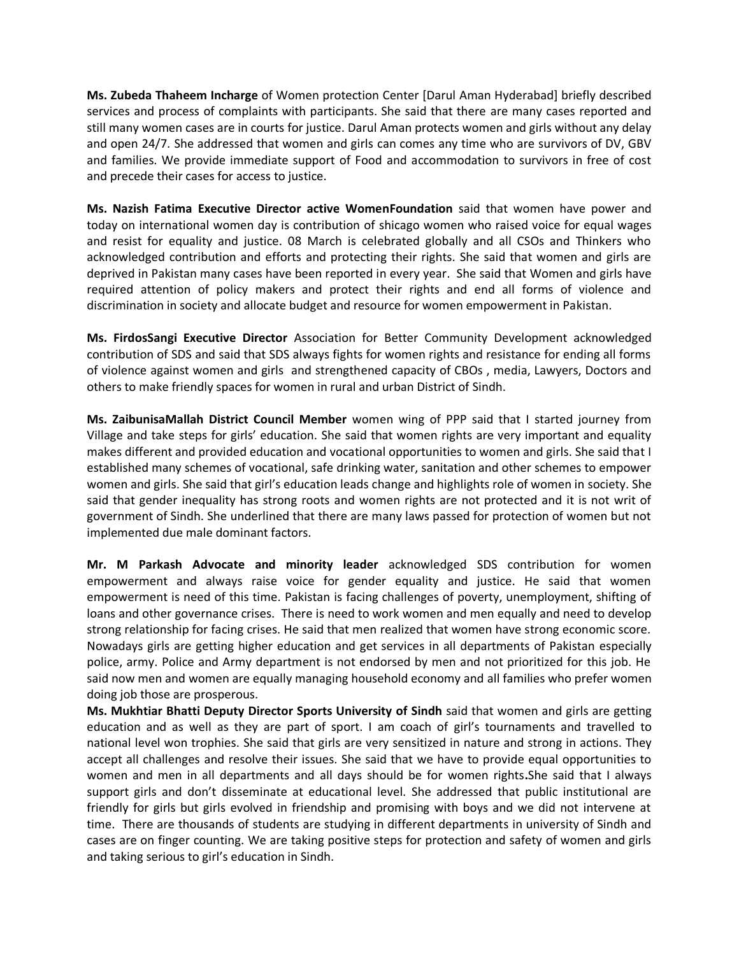**Ms. Zubeda Thaheem Incharge** of Women protection Center [Darul Aman Hyderabad] briefly described services and process of complaints with participants. She said that there are many cases reported and still many women cases are in courts for justice. Darul Aman protects women and girls without any delay and open 24/7. She addressed that women and girls can comes any time who are survivors of DV, GBV and families. We provide immediate support of Food and accommodation to survivors in free of cost and precede their cases for access to justice.

**Ms. Nazish Fatima Executive Director active WomenFoundation** said that women have power and today on international women day is contribution of shicago women who raised voice for equal wages and resist for equality and justice. 08 March is celebrated globally and all CSOs and Thinkers who acknowledged contribution and efforts and protecting their rights. She said that women and girls are deprived in Pakistan many cases have been reported in every year. She said that Women and girls have required attention of policy makers and protect their rights and end all forms of violence and discrimination in society and allocate budget and resource for women empowerment in Pakistan.

**Ms. FirdosSangi Executive Director** Association for Better Community Development acknowledged contribution of SDS and said that SDS always fights for women rights and resistance for ending all forms of violence against women and girls and strengthened capacity of CBOs , media, Lawyers, Doctors and others to make friendly spaces for women in rural and urban District of Sindh.

**Ms. ZaibunisaMallah District Council Member** women wing of PPP said that I started journey from Village and take steps for girls' education. She said that women rights are very important and equality makes different and provided education and vocational opportunities to women and girls. She said that I established many schemes of vocational, safe drinking water, sanitation and other schemes to empower women and girls. She said that girl's education leads change and highlights role of women in society. She said that gender inequality has strong roots and women rights are not protected and it is not writ of government of Sindh. She underlined that there are many laws passed for protection of women but not implemented due male dominant factors.

**Mr. M Parkash Advocate and minority leader** acknowledged SDS contribution for women empowerment and always raise voice for gender equality and justice. He said that women empowerment is need of this time. Pakistan is facing challenges of poverty, unemployment, shifting of loans and other governance crises. There is need to work women and men equally and need to develop strong relationship for facing crises. He said that men realized that women have strong economic score. Nowadays girls are getting higher education and get services in all departments of Pakistan especially police, army. Police and Army department is not endorsed by men and not prioritized for this job. He said now men and women are equally managing household economy and all families who prefer women doing job those are prosperous.

**Ms. Mukhtiar Bhatti Deputy Director Sports University of Sindh** said that women and girls are getting education and as well as they are part of sport. I am coach of girl's tournaments and travelled to national level won trophies. She said that girls are very sensitized in nature and strong in actions. They accept all challenges and resolve their issues. She said that we have to provide equal opportunities to women and men in all departments and all days should be for women rights**.**She said that I always support girls and don't disseminate at educational level. She addressed that public institutional are friendly for girls but girls evolved in friendship and promising with boys and we did not intervene at time. There are thousands of students are studying in different departments in university of Sindh and cases are on finger counting. We are taking positive steps for protection and safety of women and girls and taking serious to girl's education in Sindh.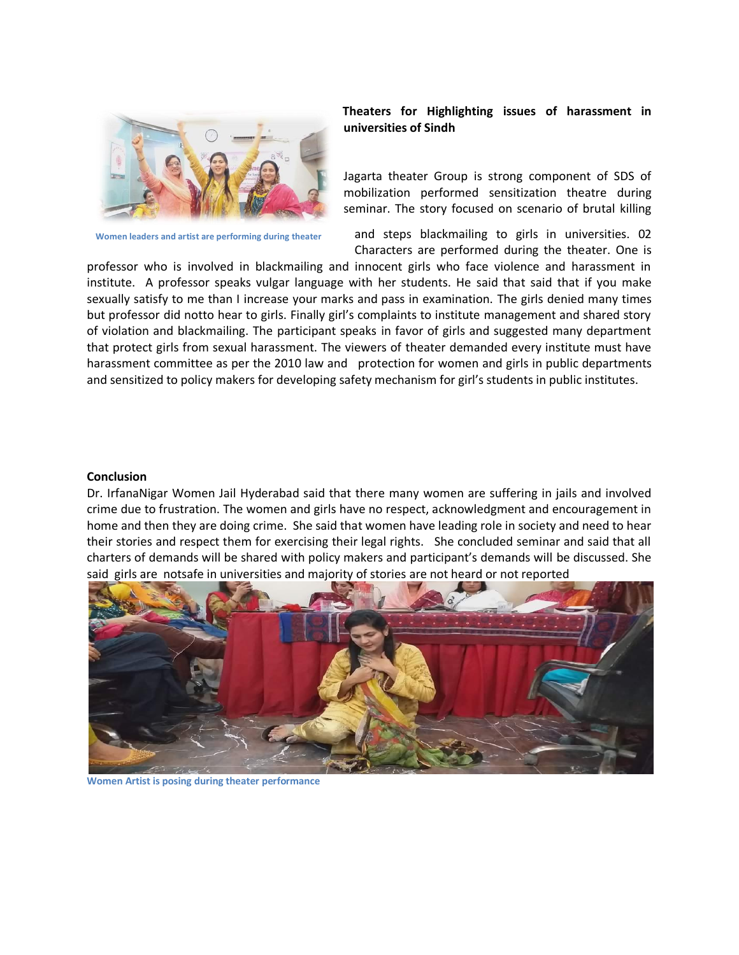

**Women leaders and artist are performing during theater**

### **Theaters for Highlighting issues of harassment in universities of Sindh**

Jagarta theater Group is strong component of SDS of mobilization performed sensitization theatre during seminar. The story focused on scenario of brutal killing

and steps blackmailing to girls in universities. 02 Characters are performed during the theater. One is

professor who is involved in blackmailing and innocent girls who face violence and harassment in institute. A professor speaks vulgar language with her students. He said that said that if you make sexually satisfy to me than I increase your marks and pass in examination. The girls denied many times but professor did notto hear to girls. Finally girl's complaints to institute management and shared story of violation and blackmailing. The participant speaks in favor of girls and suggested many department that protect girls from sexual harassment. The viewers of theater demanded every institute must have harassment committee as per the 2010 law and protection for women and girls in public departments and sensitized to policy makers for developing safety mechanism for girl's students in public institutes.

#### **Conclusion**

Dr. IrfanaNigar Women Jail Hyderabad said that there many women are suffering in jails and involved crime due to frustration. The women and girls have no respect, acknowledgment and encouragement in home and then they are doing crime. She said that women have leading role in society and need to hear their stories and respect them for exercising their legal rights. She concluded seminar and said that all charters of demands will be shared with policy makers and participant's demands will be discussed. She said girls are notsafe in universities and majority of stories are not heard or not reported



**Women Artist is posing during theater performance**